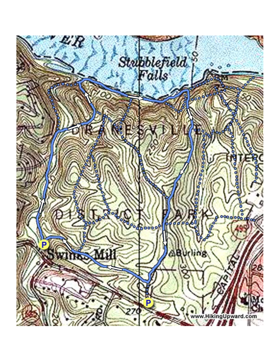